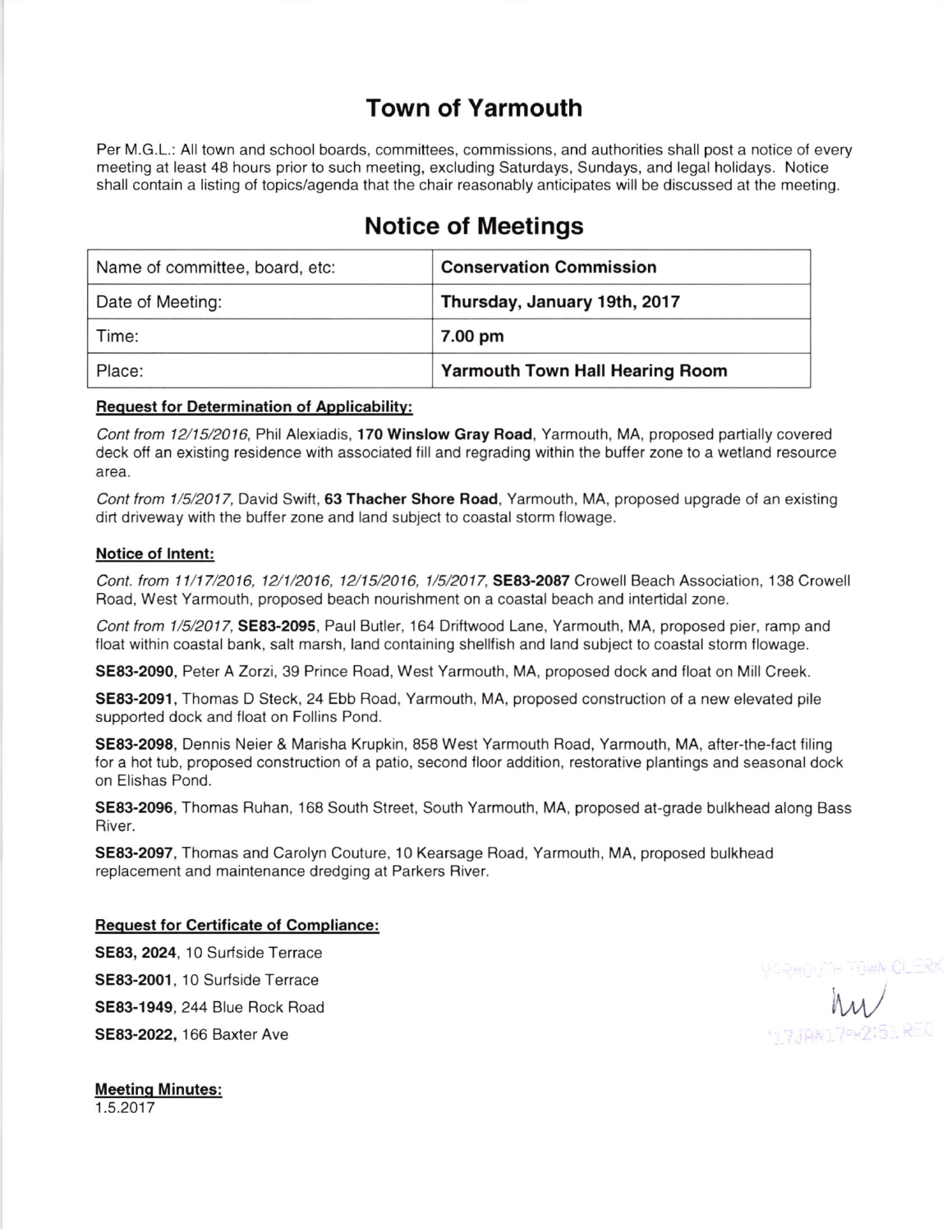# Town of Yarmouth

Per M.G.L.: All town and school boards, committees, commissions, and authorities shall post a notice of every meeting at least 48 hours prior to such meeting, excluding Saturdays, Sundays, and legal holidays. Notice shall contain a listing of topics/agenda that the chair reasonably anticipates will be discussed at the meeting.

# Notice of Meetings

| Name of committee, board, etc: | <b>Conservation Commission</b>         |
|--------------------------------|----------------------------------------|
| Date of Meeting:               | Thursday, January 19th, 2017           |
| Time:                          | 7.00 pm                                |
| Place:                         | <b>Yarmouth Town Hall Hearing Room</b> |

#### Request for Determination of Applicabilitv:

Cont from 12/15/2016, Phil Alexiadis, 170 Winslow Gray Road, Yarmouth, MA, proposed partially covered deck off an existing residence with associated fill and regrading within the buffer zone to a wetland resource area.

Cont from 1/5/2017, David Swift, 63 Thacher Shore Road, Yarmouth, MA, proposed upgrade of an existing dirt driveway with the buffer zone and land subject to coastal storm flowage.

#### Notice ot lntent:

Cont. from 11/17/2016, 12/1/2016, 12/15/2016, 1/5/2017, SE83-2087 Crowell Beach Association, 138 Crowell Road, West Yarmouth, proposed beach nourishment on a coastal beach and intertidal zone.

Cont from 1/5/2017, SE83-2095, Paul Butler, 164 Driftwood Lane, Yarmouth, MA, proposed pier, ramp and float within coastal bank, salt marsh, land containing shellfish and land subject to coastal storm flowage.

SE83-2090, Peter A Zorzi, 39 Prince Road, West Yarmouth, MA, proposed dock and float on Mill Creek.

SE83-2091, Thomas D Steck, 24 Ebb Road, Yarmouth, MA, proposed construction of a new elevated pile supported dock and float on Follins Pond.

SE83-2098, Dennis Neier & Marisha Krupkin, 858 West Yarmouth Road, Yarmouth, MA, after-the-fact filing for a hot tub, proposed construction of a patio, second floor addition, restorative plantings and seasonal dock on Elishas Pond.

SE83-2096, Thomas Ruhan, 168 South Street, South Yarmouth, MA, proposed at-grade bulkhead along Bass River.

SE83-2097, Thomas and Carolyn Couture, 10 Kearsage Road, Yarmouth, MA, proposed bulkhead replacement and maintenance dredging at Parkers Biver.

#### Request for Certificate of Compliance:

SE83, 2024, 10 Surfside Terrace SE83-2001, 10 Surfside Terrace SE83-1949, 244 Blue Rock Road SE83-2O22, 166 Baxter Ave

Meetinq Minutes: 1.5.2017

 $\mu$